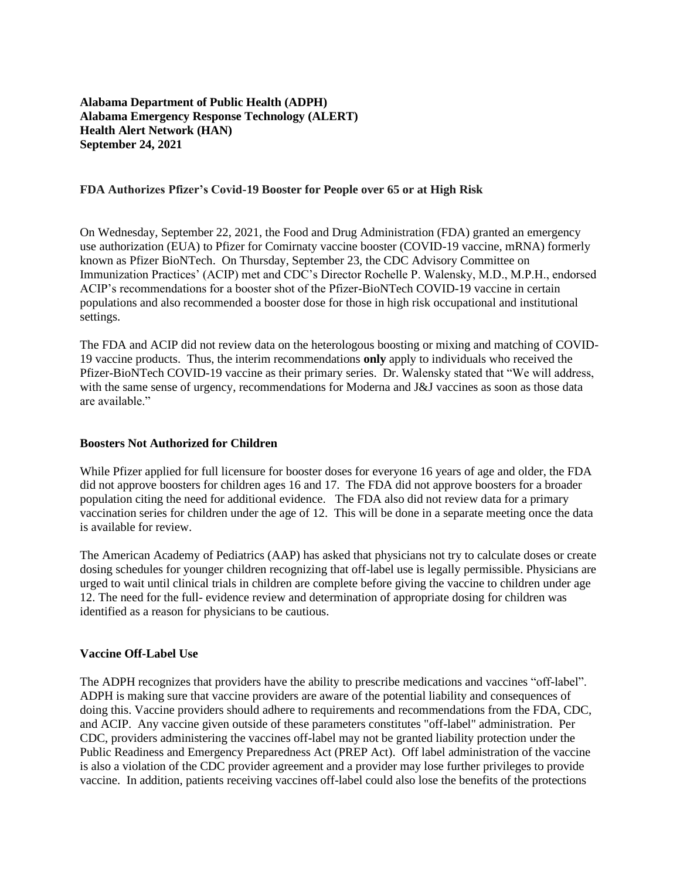**Alabama Department of Public Health (ADPH) Alabama Emergency Response Technology (ALERT) Health Alert Network (HAN) September 24, 2021**

## **FDA Authorizes Pfizer's Covid-19 Booster for People over 65 or at High Risk**

On Wednesday, September 22, 2021, the Food and Drug Administration (FDA) granted an emergency use authorization (EUA) to Pfizer for Comirnaty vaccine booster (COVID-19 vaccine, mRNA) formerly known as Pfizer BioNTech. On Thursday, September 23, the CDC Advisory Committee on Immunization Practices' (ACIP) met and CDC's Director Rochelle P. Walensky, M.D., M.P.H., endorsed ACIP's recommendations for a booster shot of the Pfizer-BioNTech COVID-19 vaccine in certain populations and also recommended a booster dose for those in high risk occupational and institutional settings.

The FDA and ACIP did not review data on the heterologous boosting or mixing and matching of COVID-19 vaccine products. Thus, the interim recommendations **only** apply to individuals who received the Pfizer-BioNTech COVID-19 vaccine as their primary series. Dr. Walensky stated that "We will address, with the same sense of urgency, recommendations for Moderna and J&J vaccines as soon as those data are available."

#### **Boosters Not Authorized for Children**

While Pfizer applied for full licensure for booster doses for everyone 16 years of age and older, the FDA did not approve boosters for children ages 16 and 17. The FDA did not approve boosters for a broader population citing the need for additional evidence. The FDA also did not review data for a primary vaccination series for children under the age of 12. This will be done in a separate meeting once the data is available for review.

The American Academy of Pediatrics (AAP) has asked that physicians not try to calculate doses or create dosing schedules for younger children recognizing that off-label use is legally permissible. Physicians are urged to wait until clinical trials in children are complete before giving the vaccine to children under age 12. The need for the full- evidence review and determination of appropriate dosing for children was identified as a reason for physicians to be cautious.

## **Vaccine Off-Label Use**

The ADPH recognizes that providers have the ability to prescribe medications and vaccines "off-label". ADPH is making sure that vaccine providers are aware of the potential liability and consequences of doing this. Vaccine providers should adhere to requirements and recommendations from the FDA, CDC, and ACIP. Any vaccine given outside of these parameters constitutes "off-label" administration. Per CDC, providers administering the vaccines off-label may not be granted liability protection under the Public Readiness and Emergency Preparedness Act (PREP Act). Off label administration of the vaccine is also a violation of the CDC provider agreement and a provider may lose further privileges to provide vaccine. In addition, patients receiving vaccines off-label could also lose the benefits of the protections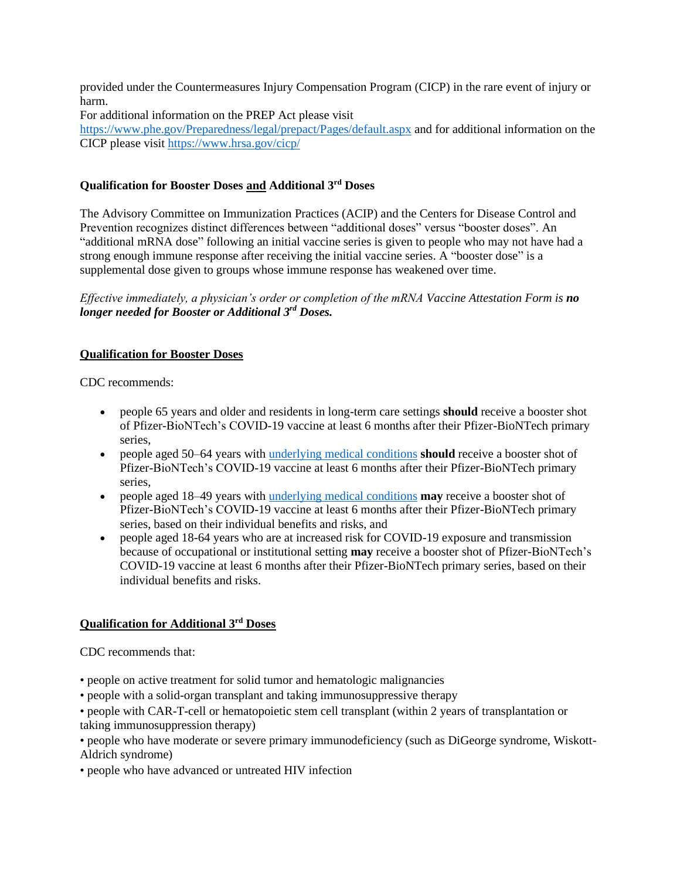provided under the Countermeasures Injury Compensation Program (CICP) in the rare event of injury or harm.

For additional information on the PREP Act please visit

<https://www.phe.gov/Preparedness/legal/prepact/Pages/default.aspx> and for additional information on the CICP please visit<https://www.hrsa.gov/cicp/>

# **Qualification for Booster Doses and Additional 3rd Doses**

The Advisory Committee on Immunization Practices (ACIP) and the Centers for Disease Control and Prevention recognizes distinct differences between "additional doses" versus "booster doses". An "additional mRNA dose" following an initial vaccine series is given to people who may not have had a strong enough immune response after receiving the initial vaccine series. A "booster dose" is a supplemental dose given to groups whose immune response has weakened over time.

*Effective immediately, a physician's order or completion of the mRNA Vaccine Attestation Form is no longer needed for Booster or Additional 3rd Doses.*

# **Qualification for Booster Doses**

CDC recommends:

- people 65 years and older and residents in long-term care settings **should** receive a booster shot of Pfizer-BioNTech's COVID-19 vaccine at least 6 months after their Pfizer-BioNTech primary series,
- people aged 50–64 years with [underlying medical conditions](https://www.cdc.gov/coronavirus/2019-ncov/need-extra-precautions/people-with-medical-conditions.html) **should** receive a booster shot of Pfizer-BioNTech's COVID-19 vaccine at least 6 months after their Pfizer-BioNTech primary series,
- people aged 18–49 years with [underlying medical conditions](https://www.cdc.gov/coronavirus/2019-ncov/need-extra-precautions/people-with-medical-conditions.html) **may** receive a booster shot of Pfizer-BioNTech's COVID-19 vaccine at least 6 months after their Pfizer-BioNTech primary series, based on their individual benefits and risks, and
- people aged 18-64 years who are at increased risk for COVID-19 exposure and transmission because of occupational or institutional setting **may** receive a booster shot of Pfizer-BioNTech's COVID-19 vaccine at least 6 months after their Pfizer-BioNTech primary series, based on their individual benefits and risks.

## **Qualification for Additional 3rd Doses**

CDC recommends that:

- people on active treatment for solid tumor and hematologic malignancies
- people with a solid-organ transplant and taking immunosuppressive therapy

• people with CAR-T-cell or hematopoietic stem cell transplant (within 2 years of transplantation or taking immunosuppression therapy)

• people who have moderate or severe primary immunodeficiency (such as DiGeorge syndrome, Wiskott-Aldrich syndrome)

• people who have advanced or untreated HIV infection